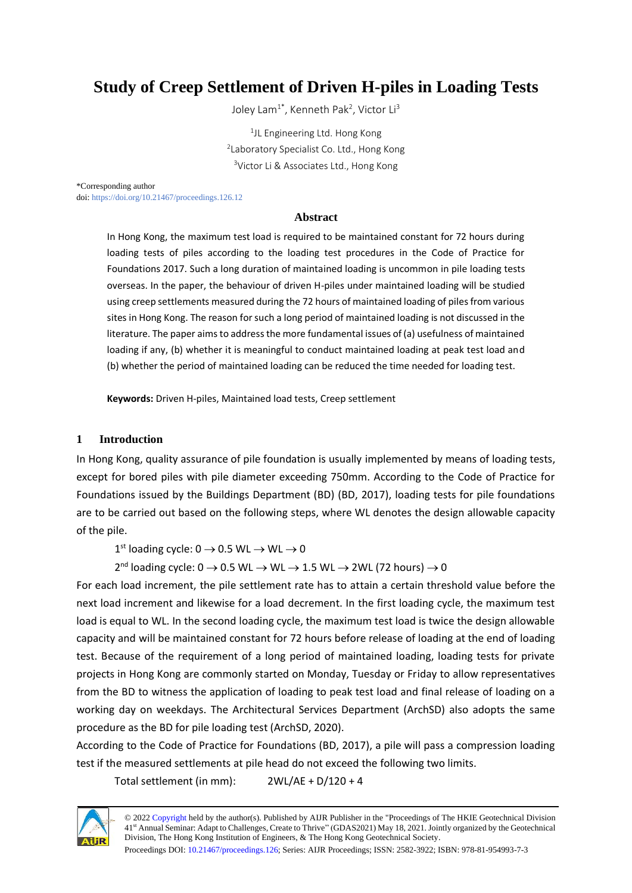# **Study of Creep Settlement of Driven H-piles in Loading Tests**

Joley Lam $^{1^*}$ , Kenneth Pak<sup>2</sup>, Victor Li $^3$ 

<sup>1</sup>JL Engineering Ltd. Hong Kong <sup>2</sup> Laboratory Specialist Co. Ltd., Hong Kong <sup>3</sup>Victor Li & Associates Ltd., Hong Kong

\*Corresponding author doi[: https://doi.org/10.21467/proceedings.126.12](https://doi.org/10.21467/proceedings.126.12)

### **Abstract**

In Hong Kong, the maximum test load is required to be maintained constant for 72 hours during loading tests of piles according to the loading test procedures in the Code of Practice for Foundations 2017. Such a long duration of maintained loading is uncommon in pile loading tests overseas. In the paper, the behaviour of driven H-piles under maintained loading will be studied using creep settlements measured during the 72 hours of maintained loading of piles from various sites in Hong Kong. The reason for such a long period of maintained loading is not discussed in the literature. The paper aims to address the more fundamental issues of (a) usefulness of maintained loading if any, (b) whether it is meaningful to conduct maintained loading at peak test load and (b) whether the period of maintained loading can be reduced the time needed for loading test.

**Keywords:** Driven H-piles, Maintained load tests, Creep settlement

### **1 Introduction**

In Hong Kong, quality assurance of pile foundation is usually implemented by means of loading tests, except for bored piles with pile diameter exceeding 750mm. According to the Code of Practice for Foundations issued by the Buildings Department (BD) (BD, 2017), loading tests for pile foundations are to be carried out based on the following steps, where WL denotes the design allowable capacity of the pile.

 $1<sup>st</sup>$  loading cycle: 0  $\rightarrow$  0.5 WL  $\rightarrow$  WL  $\rightarrow$  0

 $2^{nd}$  loading cycle: 0  $\rightarrow$  0.5 WL  $\rightarrow$  WL  $\rightarrow$  1.5 WL  $\rightarrow$  2WL (72 hours)  $\rightarrow$  0

For each load increment, the pile settlement rate has to attain a certain threshold value before the next load increment and likewise for a load decrement. In the first loading cycle, the maximum test load is equal to WL. In the second loading cycle, the maximum test load is twice the design allowable capacity and will be maintained constant for 72 hours before release of loading at the end of loading test. Because of the requirement of a long period of maintained loading, loading tests for private projects in Hong Kong are commonly started on Monday, Tuesday or Friday to allow representatives from the BD to witness the application of loading to peak test load and final release of loading on a working day on weekdays. The Architectural Services Department (ArchSD) also adopts the same procedure as the BD for pile loading test (ArchSD, 2020).

According to the Code of Practice for Foundations (BD, 2017), a pile will pass a compression loading test if the measured settlements at pile head do not exceed the following two limits.

Total settlement (in mm): 2WL/AE + D/120 + 4



© 202[2 Copyright](https://aijr.org/about/policies/copyright/) held by the author(s). Published by AIJR Publisher in the "Proceedings of The HKIE Geotechnical Division 41st Annual Seminar: Adapt to Challenges, Create to Thrive" (GDAS2021) May 18, 2021. Jointly organized by the Geotechnical Division, The Hong Kong Institution of Engineers, & The Hong Kong Geotechnical Society.

Proceedings DOI[: 10.21467/proceedings.126;](https://doi.org/10.21467/proceedings.126) Series: AIJR Proceedings; ISSN: 2582-3922; ISBN: 978-81-954993-7-3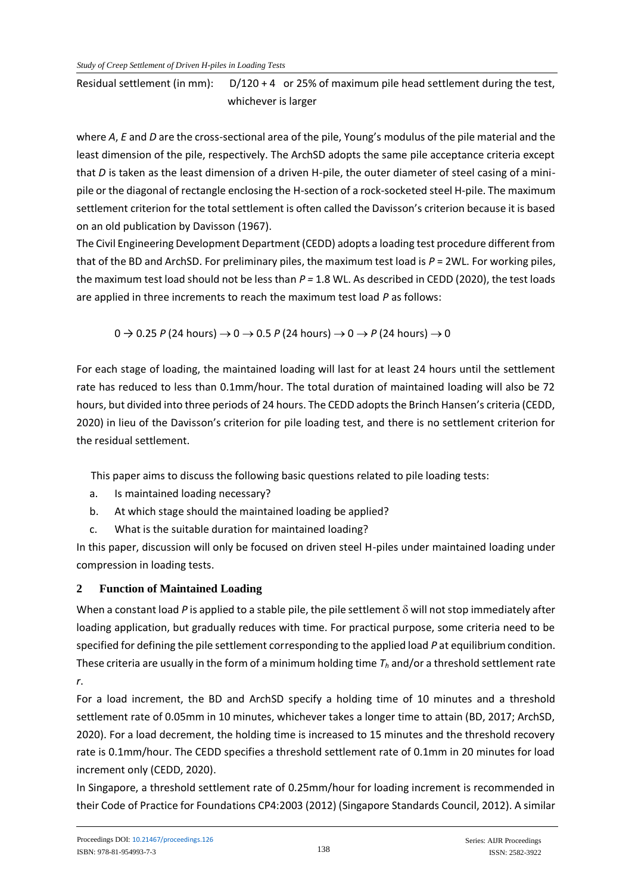Residual settlement (in mm):  $D/120 + 4$  or 25% of maximum pile head settlement during the test, whichever is larger

where *A*, *E* and *D* are the cross-sectional area of the pile, Young's modulus of the pile material and the least dimension of the pile, respectively. The ArchSD adopts the same pile acceptance criteria except that *D* is taken as the least dimension of a driven H-pile, the outer diameter of steel casing of a minipile or the diagonal of rectangle enclosing the H-section of a rock-socketed steel H-pile. The maximum settlement criterion for the total settlement is often called the Davisson's criterion because it is based on an old publication by Davisson (1967).

The Civil Engineering Development Department (CEDD) adopts a loading test procedure different from that of the BD and ArchSD. For preliminary piles, the maximum test load is *P* = 2WL. For working piles, the maximum test load should not be less than *P =* 1.8 WL. As described in CEDD (2020), the test loads are applied in three increments to reach the maximum test load *P* as follows:

 $0 \rightarrow 0.25$  *P* (24 hours)  $\rightarrow 0 \rightarrow 0.5$  *P* (24 hours)  $\rightarrow 0 \rightarrow P$  (24 hours)  $\rightarrow 0$ 

For each stage of loading, the maintained loading will last for at least 24 hours until the settlement rate has reduced to less than 0.1mm/hour. The total duration of maintained loading will also be 72 hours, but divided into three periods of 24 hours. The CEDD adopts the Brinch Hansen's criteria (CEDD, 2020) in lieu of the Davisson's criterion for pile loading test, and there is no settlement criterion for the residual settlement.

This paper aims to discuss the following basic questions related to pile loading tests:

- a. Is maintained loading necessary?
- b. At which stage should the maintained loading be applied?
- c. What is the suitable duration for maintained loading?

In this paper, discussion will only be focused on driven steel H-piles under maintained loading under compression in loading tests.

# **2 Function of Maintained Loading**

When a constant load P is applied to a stable pile, the pile settlement  $\delta$  will not stop immediately after loading application, but gradually reduces with time. For practical purpose, some criteria need to be specified for defining the pile settlement corresponding to the applied load *P* at equilibrium condition. These criteria are usually in the form of a minimum holding time *T<sup>h</sup>* and/or a threshold settlement rate *r*.

For a load increment, the BD and ArchSD specify a holding time of 10 minutes and a threshold settlement rate of 0.05mm in 10 minutes, whichever takes a longer time to attain (BD, 2017; ArchSD, 2020). For a load decrement, the holding time is increased to 15 minutes and the threshold recovery rate is 0.1mm/hour. The CEDD specifies a threshold settlement rate of 0.1mm in 20 minutes for load increment only (CEDD, 2020).

In Singapore, a threshold settlement rate of 0.25mm/hour for loading increment is recommended in their Code of Practice for Foundations CP4:2003 (2012) (Singapore Standards Council, 2012). A similar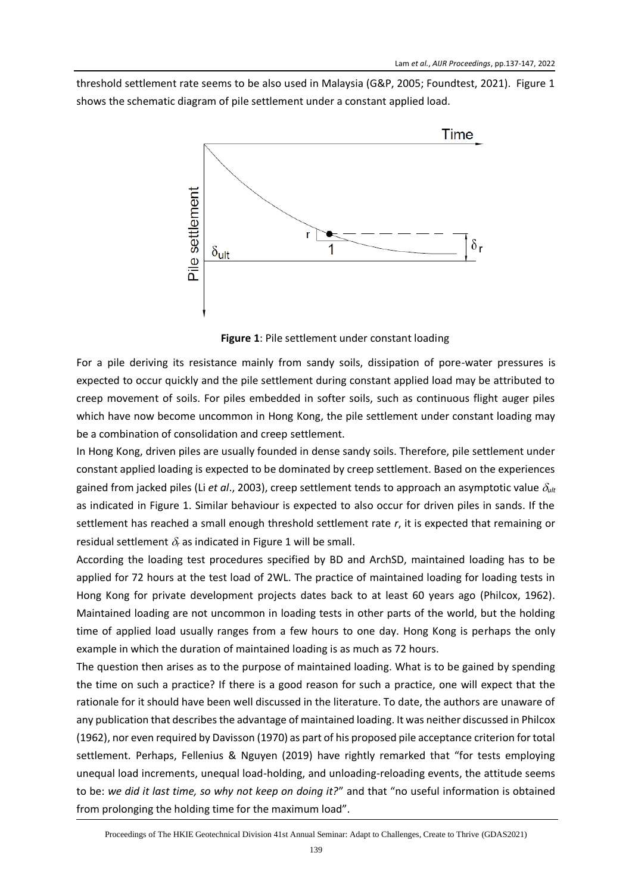threshold settlement rate seems to be also used in Malaysia (G&P, 2005; Foundtest, 2021). Figure 1 shows the schematic diagram of pile settlement under a constant applied load.



**Figure 1**: Pile settlement under constant loading

For a pile deriving its resistance mainly from sandy soils, dissipation of pore-water pressures is expected to occur quickly and the pile settlement during constant applied load may be attributed to creep movement of soils. For piles embedded in softer soils, such as continuous flight auger piles which have now become uncommon in Hong Kong, the pile settlement under constant loading may be a combination of consolidation and creep settlement.

In Hong Kong, driven piles are usually founded in dense sandy soils. Therefore, pile settlement under constant applied loading is expected to be dominated by creep settlement. Based on the experiences gained from jacked piles (Li *et al.*, 2003), creep settlement tends to approach an asymptotic value  $\delta_{ult}$ as indicated in Figure 1. Similar behaviour is expected to also occur for driven piles in sands. If the settlement has reached a small enough threshold settlement rate *r*, it is expected that remaining or residual settlement  $\delta_r$  as indicated in Figure 1 will be small.

According the loading test procedures specified by BD and ArchSD, maintained loading has to be applied for 72 hours at the test load of 2WL. The practice of maintained loading for loading tests in Hong Kong for private development projects dates back to at least 60 years ago (Philcox, 1962). Maintained loading are not uncommon in loading tests in other parts of the world, but the holding time of applied load usually ranges from a few hours to one day. Hong Kong is perhaps the only example in which the duration of maintained loading is as much as 72 hours.

The question then arises as to the purpose of maintained loading. What is to be gained by spending the time on such a practice? If there is a good reason for such a practice, one will expect that the rationale for it should have been well discussed in the literature. To date, the authors are unaware of any publication that describes the advantage of maintained loading. It was neither discussed in Philcox (1962), nor even required by Davisson (1970) as part of his proposed pile acceptance criterion for total settlement. Perhaps, Fellenius & Nguyen (2019) have rightly remarked that "for tests employing unequal load increments, unequal load-holding, and unloading-reloading events, the attitude seems to be: *we did it last time, so why not keep on doing it?*" and that "no useful information is obtained from prolonging the holding time for the maximum load".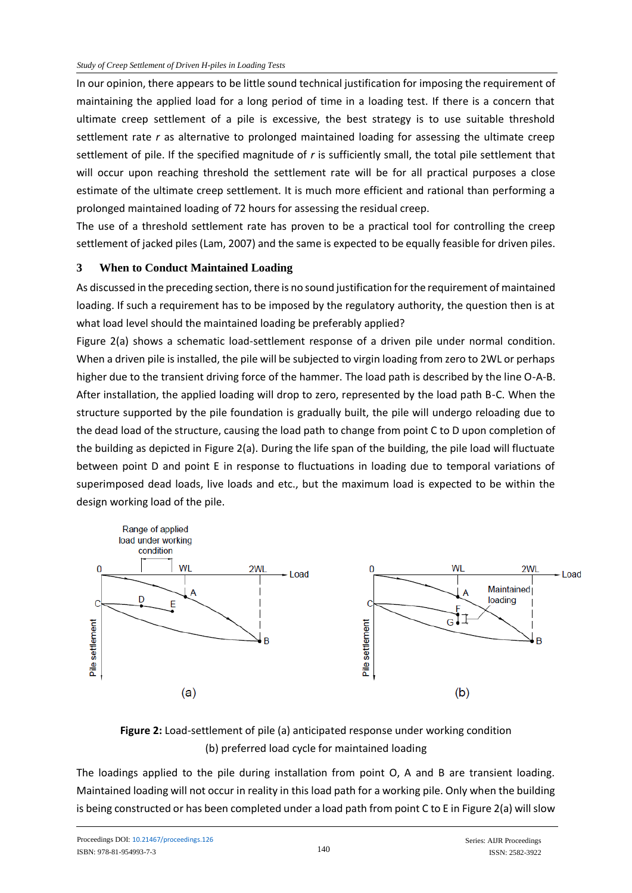In our opinion, there appears to be little sound technical justification for imposing the requirement of maintaining the applied load for a long period of time in a loading test. If there is a concern that ultimate creep settlement of a pile is excessive, the best strategy is to use suitable threshold settlement rate *r* as alternative to prolonged maintained loading for assessing the ultimate creep settlement of pile. If the specified magnitude of *r* is sufficiently small, the total pile settlement that will occur upon reaching threshold the settlement rate will be for all practical purposes a close estimate of the ultimate creep settlement. It is much more efficient and rational than performing a prolonged maintained loading of 72 hours for assessing the residual creep.

The use of a threshold settlement rate has proven to be a practical tool for controlling the creep settlement of jacked piles (Lam, 2007) and the same is expected to be equally feasible for driven piles.

### **3 When to Conduct Maintained Loading**

As discussed in the preceding section, there is no sound justification for the requirement of maintained loading. If such a requirement has to be imposed by the regulatory authority, the question then is at what load level should the maintained loading be preferably applied?

Figure 2(a) shows a schematic load-settlement response of a driven pile under normal condition. When a driven pile is installed, the pile will be subjected to virgin loading from zero to 2WL or perhaps higher due to the transient driving force of the hammer. The load path is described by the line O-A-B. After installation, the applied loading will drop to zero, represented by the load path B-C. When the structure supported by the pile foundation is gradually built, the pile will undergo reloading due to the dead load of the structure, causing the load path to change from point C to D upon completion of the building as depicted in Figure 2(a). During the life span of the building, the pile load will fluctuate between point D and point E in response to fluctuations in loading due to temporal variations of superimposed dead loads, live loads and etc., but the maximum load is expected to be within the design working load of the pile.



# **Figure 2:** Load-settlement of pile (a) anticipated response under working condition (b) preferred load cycle for maintained loading

The loadings applied to the pile during installation from point O, A and B are transient loading. Maintained loading will not occur in reality in this load path for a working pile. Only when the building is being constructed or has been completed under a load path from point C to E in Figure 2(a) will slow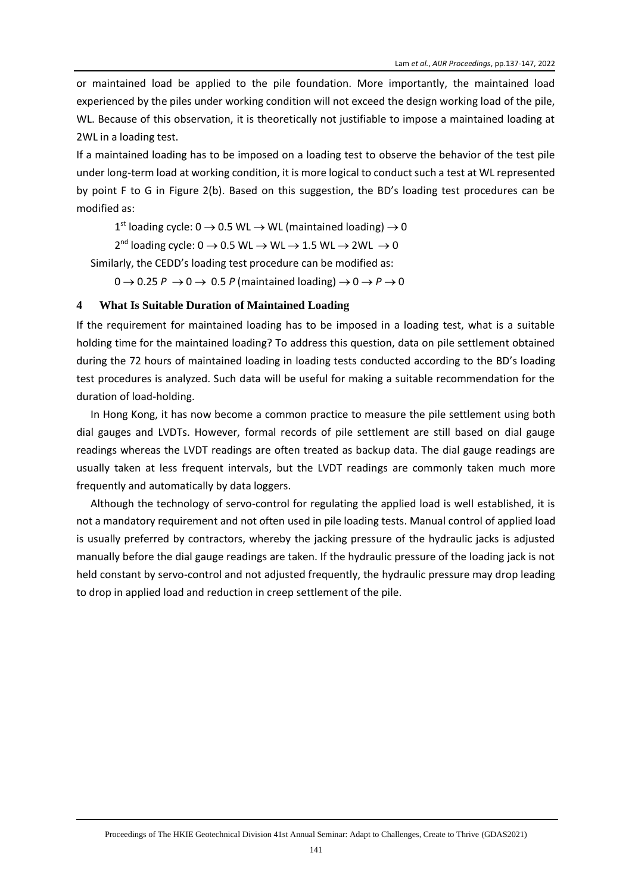or maintained load be applied to the pile foundation. More importantly, the maintained load experienced by the piles under working condition will not exceed the design working load of the pile, WL. Because of this observation, it is theoretically not justifiable to impose a maintained loading at 2WL in a loading test.

If a maintained loading has to be imposed on a loading test to observe the behavior of the test pile under long-term load at working condition, it is more logical to conduct such a test at WL represented by point F to G in Figure 2(b). Based on this suggestion, the BD's loading test procedures can be modified as:

 $1<sup>st</sup>$  loading cycle: 0  $\rightarrow$  0.5 WL  $\rightarrow$  WL (maintained loading)  $\rightarrow$  0

 $2^{nd}$  loading cycle:  $0 \rightarrow 0.5$  WL  $\rightarrow$  WL  $\rightarrow$  1.5 WL  $\rightarrow$  2WL  $\rightarrow$  0

Similarly, the CEDD's loading test procedure can be modified as:

 $0 \rightarrow 0.25$  *P*  $\rightarrow 0 \rightarrow 0.5$  *P* (maintained loading)  $\rightarrow 0 \rightarrow P \rightarrow 0$ 

#### **4 What Is Suitable Duration of Maintained Loading**

If the requirement for maintained loading has to be imposed in a loading test, what is a suitable holding time for the maintained loading? To address this question, data on pile settlement obtained during the 72 hours of maintained loading in loading tests conducted according to the BD's loading test procedures is analyzed. Such data will be useful for making a suitable recommendation for the duration of load-holding.

In Hong Kong, it has now become a common practice to measure the pile settlement using both dial gauges and LVDTs. However, formal records of pile settlement are still based on dial gauge readings whereas the LVDT readings are often treated as backup data. The dial gauge readings are usually taken at less frequent intervals, but the LVDT readings are commonly taken much more frequently and automatically by data loggers.

Although the technology of servo-control for regulating the applied load is well established, it is not a mandatory requirement and not often used in pile loading tests. Manual control of applied load is usually preferred by contractors, whereby the jacking pressure of the hydraulic jacks is adjusted manually before the dial gauge readings are taken. If the hydraulic pressure of the loading jack is not held constant by servo-control and not adjusted frequently, the hydraulic pressure may drop leading to drop in applied load and reduction in creep settlement of the pile.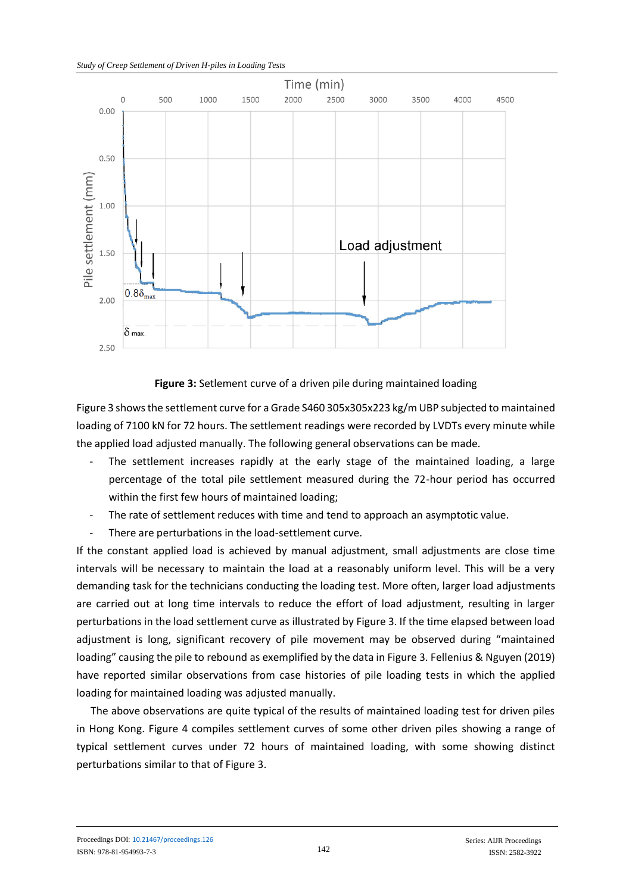

### **Figure 3:** Setlement curve of a driven pile during maintained loading

Figure 3 shows the settlement curve for a Grade S460 305x305x223 kg/m UBP subjected to maintained loading of 7100 kN for 72 hours. The settlement readings were recorded by LVDTs every minute while the applied load adjusted manually. The following general observations can be made.

- The settlement increases rapidly at the early stage of the maintained loading, a large percentage of the total pile settlement measured during the 72-hour period has occurred within the first few hours of maintained loading;
- The rate of settlement reduces with time and tend to approach an asymptotic value.
- There are perturbations in the load-settlement curve.

If the constant applied load is achieved by manual adjustment, small adjustments are close time intervals will be necessary to maintain the load at a reasonably uniform level. This will be a very demanding task for the technicians conducting the loading test. More often, larger load adjustments are carried out at long time intervals to reduce the effort of load adjustment, resulting in larger perturbations in the load settlement curve as illustrated by Figure 3. If the time elapsed between load adjustment is long, significant recovery of pile movement may be observed during "maintained loading" causing the pile to rebound as exemplified by the data in Figure 3. Fellenius & Nguyen (2019) have reported similar observations from case histories of pile loading tests in which the applied loading for maintained loading was adjusted manually.

The above observations are quite typical of the results of maintained loading test for driven piles in Hong Kong. Figure 4 compiles settlement curves of some other driven piles showing a range of typical settlement curves under 72 hours of maintained loading, with some showing distinct perturbations similar to that of Figure 3.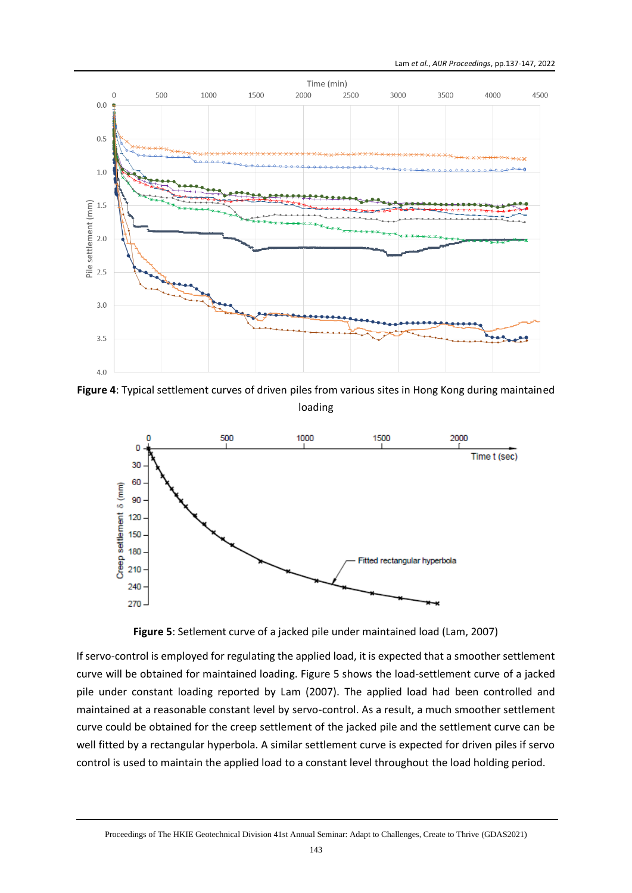

**Figure 4**: Typical settlement curves of driven piles from various sites in Hong Kong during maintained loading



**Figure 5**: Setlement curve of a jacked pile under maintained load (Lam, 2007)

If servo-control is employed for regulating the applied load, it is expected that a smoother settlement curve will be obtained for maintained loading. Figure 5 shows the load-settlement curve of a jacked pile under constant loading reported by Lam (2007). The applied load had been controlled and maintained at a reasonable constant level by servo-control. As a result, a much smoother settlement curve could be obtained for the creep settlement of the jacked pile and the settlement curve can be well fitted by a rectangular hyperbola. A similar settlement curve is expected for driven piles if servo control is used to maintain the applied load to a constant level throughout the load holding period.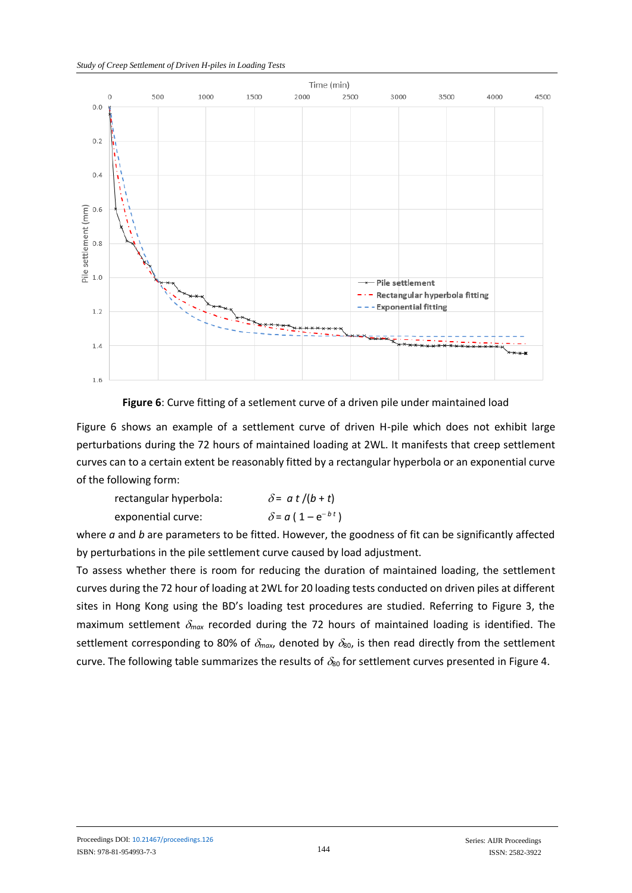

**Figure 6**: Curve fitting of a setlement curve of a driven pile under maintained load

Figure 6 shows an example of a settlement curve of driven H-pile which does not exhibit large perturbations during the 72 hours of maintained loading at 2WL. It manifests that creep settlement curves can to a certain extent be reasonably fitted by a rectangular hyperbola or an exponential curve of the following form:

| rectangular hyperbola: | $\delta$ = a t /(b + t)               |
|------------------------|---------------------------------------|
| exponential curve:     | $\delta$ = a ( 1 – e <sup>-bt</sup> ) |

where *a* and *b* are parameters to be fitted. However, the goodness of fit can be significantly affected by perturbations in the pile settlement curve caused by load adjustment.

To assess whether there is room for reducing the duration of maintained loading, the settlement curves during the 72 hour of loading at 2WL for 20 loading tests conducted on driven piles at different sites in Hong Kong using the BD's loading test procedures are studied. Referring to Figure 3, the maximum settlement  $\delta_{max}$  recorded during the 72 hours of maintained loading is identified. The settlement corresponding to 80% of  $\delta_{max}$ , denoted by  $\delta_{80}$ , is then read directly from the settlement curve. The following table summarizes the results of  $\delta_{80}$  for settlement curves presented in Figure 4.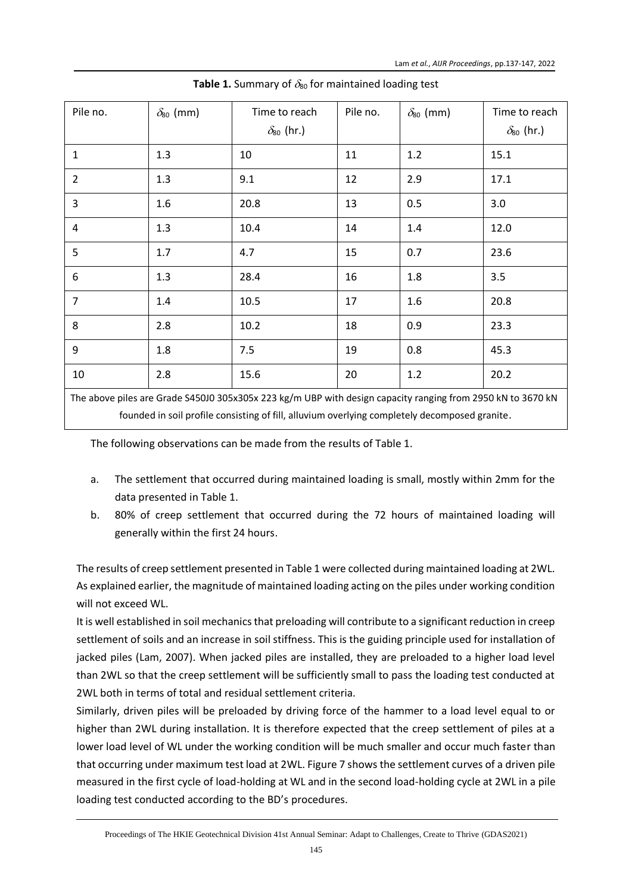| Pile no.                                                                                                    | $\delta_{80}$ (mm) | Time to reach<br>$\delta_{80}$ (hr.) | Pile no. | $\delta_{80}$ (mm) | Time to reach<br>$\delta_{80}$ (hr.) |  |
|-------------------------------------------------------------------------------------------------------------|--------------------|--------------------------------------|----------|--------------------|--------------------------------------|--|
| $\mathbf{1}$                                                                                                | 1.3                | 10                                   | 11       | 1.2                | 15.1                                 |  |
| $\overline{2}$                                                                                              | 1.3                | 9.1                                  | 12       | 2.9                | 17.1                                 |  |
| 3                                                                                                           | 1.6                | 20.8                                 | 13       | 0.5                | 3.0                                  |  |
| 4                                                                                                           | 1.3                | 10.4                                 | 14       | 1.4                | 12.0                                 |  |
| 5                                                                                                           | 1.7                | 4.7                                  | 15       | 0.7                | 23.6                                 |  |
| $\boldsymbol{6}$                                                                                            | 1.3                | 28.4                                 | 16       | 1.8                | 3.5                                  |  |
| $\overline{7}$                                                                                              | 1.4                | 10.5                                 | 17       | 1.6                | 20.8                                 |  |
| 8                                                                                                           | 2.8                | 10.2                                 | 18       | 0.9                | 23.3                                 |  |
| 9                                                                                                           | 1.8                | 7.5                                  | 19       | 0.8                | 45.3                                 |  |
| 10                                                                                                          | 2.8                | 15.6                                 | 20       | 1.2                | 20.2                                 |  |
| The above piles are Grade S45010 305x305x 223 kg/m URD with design capacity ranging from 2950 kN to 3670 kN |                    |                                      |          |                    |                                      |  |

**Table 1.** Summary of  $\delta_{80}$  for maintained loading test

e S450J0 305x305x 223 kg/m UBP with design capacity ranging from 2950 kN to 3670 kN founded in soil profile consisting of fill, alluvium overlying completely decomposed granite.

The following observations can be made from the results of Table 1.

- a. The settlement that occurred during maintained loading is small, mostly within 2mm for the data presented in Table 1.
- b. 80% of creep settlement that occurred during the 72 hours of maintained loading will generally within the first 24 hours.

The results of creep settlement presented in Table 1 were collected during maintained loading at 2WL. As explained earlier, the magnitude of maintained loading acting on the piles under working condition will not exceed WL.

It is well established in soil mechanics that preloading will contribute to a significant reduction in creep settlement of soils and an increase in soil stiffness. This is the guiding principle used for installation of jacked piles (Lam, 2007). When jacked piles are installed, they are preloaded to a higher load level than 2WL so that the creep settlement will be sufficiently small to pass the loading test conducted at 2WL both in terms of total and residual settlement criteria.

Similarly, driven piles will be preloaded by driving force of the hammer to a load level equal to or higher than 2WL during installation. It is therefore expected that the creep settlement of piles at a lower load level of WL under the working condition will be much smaller and occur much faster than that occurring under maximum test load at 2WL. Figure 7 shows the settlement curves of a driven pile measured in the first cycle of load-holding at WL and in the second load-holding cycle at 2WL in a pile loading test conducted according to the BD's procedures.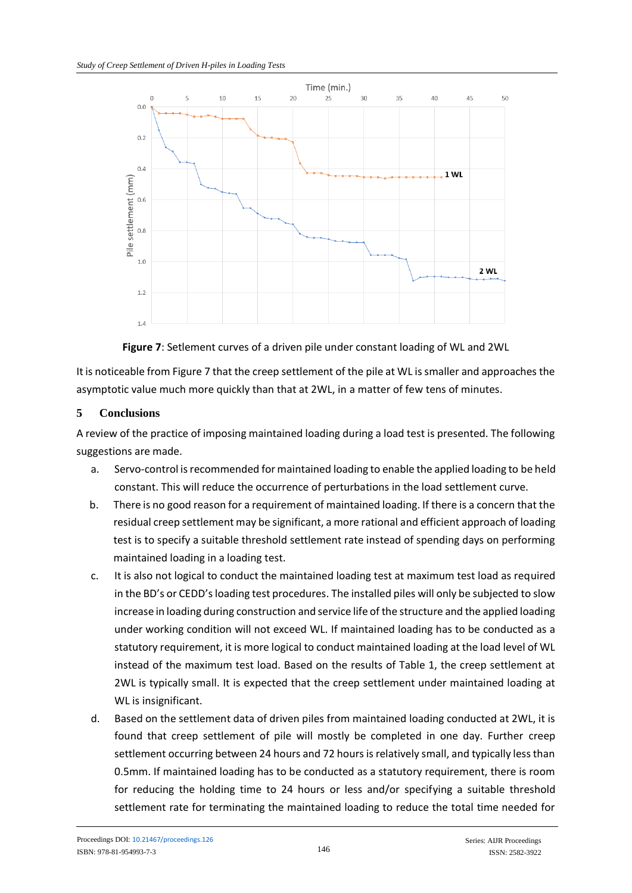



It is noticeable from Figure 7 that the creep settlement of the pile at WL is smaller and approaches the asymptotic value much more quickly than that at 2WL, in a matter of few tens of minutes.

## **5 Conclusions**

A review of the practice of imposing maintained loading during a load test is presented. The following suggestions are made.

- a. Servo-control is recommended for maintained loading to enable the applied loading to be held constant. This will reduce the occurrence of perturbations in the load settlement curve.
- b. There is no good reason for a requirement of maintained loading. If there is a concern that the residual creep settlement may be significant, a more rational and efficient approach of loading test is to specify a suitable threshold settlement rate instead of spending days on performing maintained loading in a loading test.
- c. It is also not logical to conduct the maintained loading test at maximum test load as required in the BD's or CEDD's loading test procedures. The installed piles will only be subjected to slow increase in loading during construction and service life of the structure and the applied loading under working condition will not exceed WL. If maintained loading has to be conducted as a statutory requirement, it is more logical to conduct maintained loading at the load level of WL instead of the maximum test load. Based on the results of Table 1, the creep settlement at 2WL is typically small. It is expected that the creep settlement under maintained loading at WL is insignificant.
- d. Based on the settlement data of driven piles from maintained loading conducted at 2WL, it is found that creep settlement of pile will mostly be completed in one day. Further creep settlement occurring between 24 hours and 72 hours is relatively small, and typically less than 0.5mm. If maintained loading has to be conducted as a statutory requirement, there is room for reducing the holding time to 24 hours or less and/or specifying a suitable threshold settlement rate for terminating the maintained loading to reduce the total time needed for